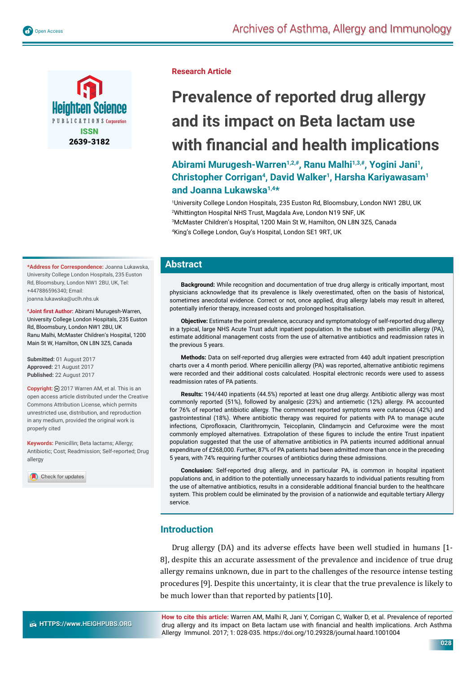





### **Research Article**

# **Prevalence of reported drug allergy and its impact on Beta lactam use with financial and health implications**

Abirami Murugesh-Warren<sup>1,2,#</sup>, Ranu Malhi<sup>1,3,#</sup>, Yogini Jani<sup>1</sup>, **Christopher Corrigan4, David Walker1, Harsha Kariyawasam1 and Joanna Lukawska1,4\***

 University College London Hospitals, 235 Euston Rd, Bloomsbury, London NW1 2BU, UK Whittington Hospital NHS Trust, Magdala Ave, London N19 5NF, UK McMaster Children's Hospital, 1200 Main St W, Hamilton, ON L8N 3Z5, Canada King's College London, Guy's Hospital, London SE1 9RT, UK

**\*Address for Correspondence:** Joanna Lukawska, University College London Hospitals, 235 Euston Rd, Bloomsbury, London NW1 2BU, UK, Tel: +447886596340; Email: joanna.lukawska@uclh.nhs.uk

**#Joint first Author:** Abirami Murugesh-Warren, University College London Hospitals, 235 Euston Rd, Bloomsbury, London NW1 2BU, UK Ranu Malhi, McMaster Children's Hospital, 1200 Main St W, Hamilton, ON L8N 3Z5, Canada

**Submitted:** 01 August 2017 **Approved:** 21 August 2017 **Published:** 22 August 2017

**Copyright:** 2017 Warren AM, et al. This is an open access article distributed under the Creative Commons Attribution License, which permits unrestricted use, distribution, and reproduction in any medium, provided the original work is properly cited

**Keywords:** Penicillin; Beta lactams; Allergy; Antibiotic; Cost; Readmission; Self-reported; Drug allergy

Check for updates

# **Abstract**

**Background:** While recognition and documentation of true drug allergy is critically important, most physicians acknowledge that its prevalence is likely overestimated, often on the basis of historical, sometimes anecdotal evidence. Correct or not, once applied, drug allergy labels may result in altered, potentially inferior therapy, increased costs and prolonged hospitalisation.

**Objective:** Estimate the point prevalence, accuracy and symptomatology of self-reported drug allergy in a typical, large NHS Acute Trust adult inpatient population. In the subset with penicillin allergy (PA), estimate additional management costs from the use of alternative antibiotics and readmission rates in the previous 5 years.

**Methods:** Data on self-reported drug allergies were extracted from 440 adult inpatient prescription charts over a 4 month period. Where penicillin allergy (PA) was reported, alternative antibiotic regimens were recorded and their additional costs calculated. Hospital electronic records were used to assess readmission rates of PA patients.

**Results:** 194/440 inpatients (44.5%) reported at least one drug allergy. Antibiotic allergy was most commonly reported (51%), followed by analgesic (23%) and antiemetic (12%) allergy. PA accounted for 76% of reported antibiotic allergy. The commonest reported symptoms were cutaneous (42%) and gastrointestinal (18%). Where antibiotic therapy was required for patients with PA to manage acute infections, Ciprofloxacin, Clarithromycin, Teicoplanin, Clindamycin and Cefuroxime were the most commonly employed alternatives. Extrapolation of these figures to include the entire Trust inpatient population suggested that the use of alternative antibiotics in PA patients incurred additional annual expenditure of £268,000. Further, 87% of PA patients had been admitted more than once in the preceding 5 years, with 74% requiring further courses of antibiotics during these admissions.

**Conclusion:** Self-reported drug allergy, and in particular PA, is common in hospital inpatient populations and, in addition to the potentially unnecessary hazards to individual patients resulting from the use of alternative antibiotics, results in a considerable additional financial burden to the healthcare system. This problem could be eliminated by the provision of a nationwide and equitable tertiary Allergy service.

# **Introduction**

Drug allergy (DA) and its adverse effects have been well studied in humans [1- 8], despite this an accurate assessment of the prevalence and incidence of true drug allergy remains unknown, due in part to the challenges of the resource intense testing procedures [9]. Despite this uncertainty, it is clear that the true prevalence is likely to be much lower than that reported by patients [10].

**HTTPS://www.HEIGHPUBS.ORG** 

**How to cite this article:** Warren AM, Malhi R, Jani Y, Corrigan C, Walker D, et al. Prevalence of reported drug allergy and its impact on Beta lactam use with financial and health implications. Arch Asthma Allergy Immunol. 2017; 1: 028-035. https://doi.org/10.29328/journal.haard.1001004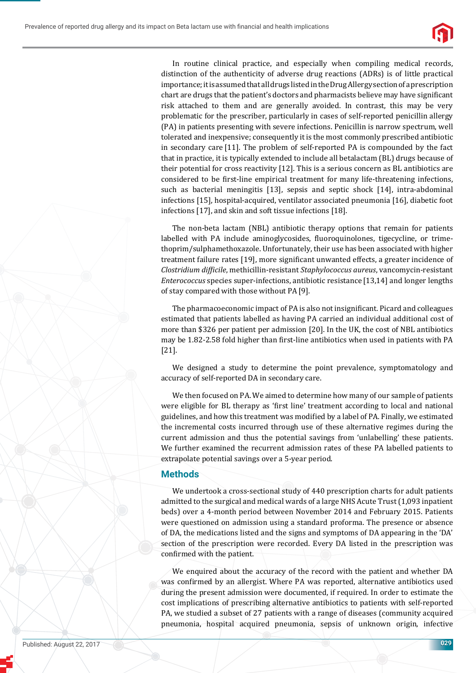

In routine clinical practice, and especially when compiling medical records, distinction of the authenticity of adverse drug reactions (ADRs) is of little practical importance; it is assumed that all drugs listed in the Drug Allergy section of a prescription chart are drugs that the patient's doctors and pharmacists believe may have significant risk attached to them and are generally avoided. In contrast, this may be very problematic for the prescriber, particularly in cases of self-reported penicillin allergy (PA) in patients presenting with severe infections. Penicillin is narrow spectrum, well tolerated and inexpensive; consequently it is the most commonly prescribed antibiotic in secondary care [11]. The problem of self-reported PA is compounded by the fact that in practice, it is typically extended to include all betalactam (BL) drugs because of their potential for cross reactivity [12]. This is a serious concern as BL antibiotics are considered to be first-line empirical treatment for many life-threatening infections, such as bacterial meningitis [13], sepsis and septic shock [14], intra-abdominal infections [15], hospital-acquired, ventilator associated pneumonia [16], diabetic foot infections [17], and skin and soft tissue infections [18].

The non-beta lactam (NBL) antibiotic therapy options that remain for patients labelled with PA include aminoglycosides, fluoroquinolones, tigecycline, or trimethoprim/sulphamethoxazole. Unfortunately, their use has been associated with higher treatment failure rates [19], more significant unwanted effects, a greater incidence of *Clostridium difϔicile*, methicillin-resistant *Staphylococcus aureus*, vancomycin-resistant *Enterococcus* species super-infections, antibiotic resistance [13,14] and longer lengths of stay compared with those without PA[9].

The pharmacoeconomic impact of PA is also not insignificant. Picard and colleagues estimated that patients labelled as having PA carried an individual additional cost of more than \$326 per patient per admission [20]. In the UK, the cost of NBL antibiotics may be 1.82-2.58 fold higher than first-line antibiotics when used in patients with PA [21].

We designed a study to determine the point prevalence, symptomatology and accuracy of self-reported DA in secondary care.

We then focused on PA. We aimed to determine how many of our sample of patients were eligible for BL therapy as 'first line' treatment according to local and national guidelines, and how this treatment was modified by a label of PA. Finally, we estimated the incremental costs incurred through use of these alternative regimes during the current admission and thus the potential savings from 'unlabelling' these patients. We further examined the recurrent admission rates of these PA labelled patients to extrapolate potential savings over a 5-year period.

# **Methods**

We undertook a cross-sectional study of 440 prescription charts for adult patients admitted to the surgical and medical wards of a large NHS Acute Trust (1,093 inpatient beds) over a 4-month period between November 2014 and February 2015. Patients were questioned on admission using a standard proforma. The presence or absence of DA, the medications listed and the signs and symptoms of DA appearing in the 'DA' section of the prescription were recorded. Every DA listed in the prescription was confirmed with the patient.

We enquired about the accuracy of the record with the patient and whether DA was confirmed by an allergist. Where PA was reported, alternative antibiotics used during the present admission were documented, if required. In order to estimate the cost implications of prescribing alternative antibiotics to patients with self-reported PA, we studied a subset of 27 patients with a range of diseases (community acquired pneumonia, hospital acquired pneumonia, sepsis of unknown origin, infective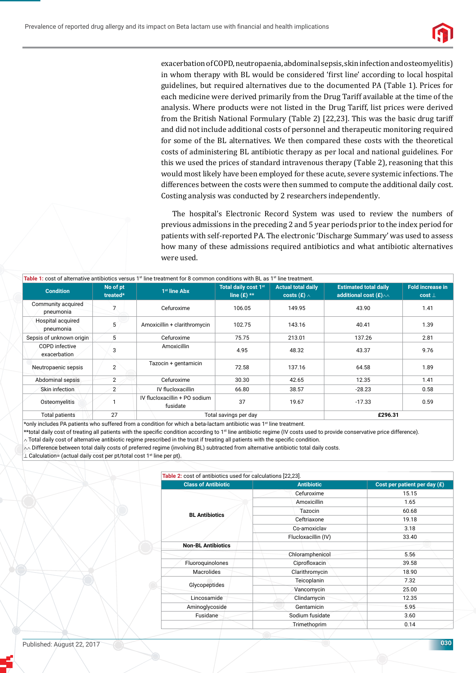

exacerbation of COPD, neutropaenia, abdominal sepsis, skin infection and osteomyelitis) in whom therapy with BL would be considered 'first line' according to local hospital guidelines, but required alternatives due to the documented PA (Table 1). Prices for each medicine were derived primarily from the Drug Tariff available at the time of the analysis. Where products were not listed in the Drug Tariff, list prices were derived from the British National Formulary (Table 2) [22,23]. This was the basic drug tariff and did not include additional costs of personnel and therapeutic monitoring required for some of the BL alternatives. We then compared these costs with the theoretical costs of administering BL antibiotic therapy as per local and national guidelines. For this we used the prices of standard intravenous therapy (Table 2), reasoning that this would most likely have been employed for these acute, severe systemic infections. The differences between the costs were then summed to compute the additional daily cost. Costing analysis was conducted by 2 researchers independently.

The hospital's Electronic Record System was used to review the numbers of previous admissions in the preceding 2 and 5 year periods prior to the index period for patients with self-reported PA. The electronic 'Discharge Summary' was used to assess how many of these admissions required antibiotics and what antibiotic alternatives were used.

| Table 1: cost of alternative antibiotics versus 1 <sup>st</sup> line treatment for 8 common conditions with BL as 1 <sup>st</sup> line treatment. |                      |                                           |                                       |                                                 |                                                                      |                                         |  |
|---------------------------------------------------------------------------------------------------------------------------------------------------|----------------------|-------------------------------------------|---------------------------------------|-------------------------------------------------|----------------------------------------------------------------------|-----------------------------------------|--|
| <b>Condition</b>                                                                                                                                  | No of pt<br>treated* | 1 <sup>st</sup> line Abx                  | Total daily cost 1st<br>line $(E)$ ** | <b>Actual total daily</b><br>costs (£) $\wedge$ | <b>Estimated total daily</b><br>additional cost $(E)_{\wedge\wedge}$ | <b>Fold increase in</b><br>$cost \perp$ |  |
| Community acquired<br>pneumonia                                                                                                                   |                      | Cefuroxime                                | 106.05                                | 149.95                                          | 43.90                                                                | 1.41                                    |  |
| Hospital acquired<br>pneumonia                                                                                                                    | 5                    | Amoxicillin + clarithromycin              | 102.75                                | 143.16                                          | 40.41                                                                | 1.39                                    |  |
| Sepsis of unknown origin                                                                                                                          | 5                    | Cefuroxime                                | 75.75                                 | 213.01                                          | 137.26                                                               | 2.81                                    |  |
| COPD infective<br>exacerbation                                                                                                                    | 3                    | Amoxicillin                               | 4.95                                  | 48.32                                           | 43.37                                                                | 9.76                                    |  |
| Neutropaenic sepsis                                                                                                                               | $\overline{2}$       | Tazocin + gentamicin                      | 72.58                                 | 137.16                                          | 64.58                                                                | 1.89                                    |  |
| Abdominal sepsis                                                                                                                                  | $\overline{2}$       | Cefuroxime                                | 30.30                                 | 42.65                                           | 12.35                                                                | 1.41                                    |  |
| Skin infection                                                                                                                                    | $\overline{2}$       | IV flucloxacillin                         | 66.80                                 | 38.57                                           | $-28.23$                                                             | 0.58                                    |  |
| Osteomyelitis                                                                                                                                     |                      | IV flucloxacillin + PO sodium<br>fusidate | 37                                    | 19.67                                           | $-17.33$                                                             | 0.59                                    |  |
| <b>Total patients</b>                                                                                                                             | 27                   |                                           | Total savings per day                 |                                                 | £296.31                                                              |                                         |  |

\*only includes PA patients who suffered from a condition for which a beta-lactam antibiotic was 1st line treatment.

\*\*total daily cost of treating all patients with the specific condition according to 1st line antibiotic regime (IV costs used to provide conservative price difference).

 $\sim$  Total daily cost of alternative antibiotic regime prescribed in the trust if treating all patients with the specific condition.

 $\sim$  Difference between total daily costs of preferred regime (involving BL) subtracted from alternative antibiotic total daily costs.

⊥ Calculation= (actual daily cost per pt/total cost 1st line per pt).

| Table 2: cost of antibiotics used for calculations [22,23]. |                     |                                |  |
|-------------------------------------------------------------|---------------------|--------------------------------|--|
| <b>Class of Antibiotic</b>                                  | <b>Antibiotic</b>   | Cost per patient per day $(E)$ |  |
|                                                             | Cefuroxime          | 15.15                          |  |
|                                                             | Amoxicillin         | 1.65                           |  |
| <b>BL Antibiotics</b>                                       | Tazocin             | 60.68                          |  |
|                                                             | Ceftriaxone         | 19.18                          |  |
|                                                             | Co-amoxiclav        | 3.18                           |  |
|                                                             | Flucloxacillin (IV) | 33.40                          |  |
| <b>Non-BL Antibiotics</b>                                   |                     |                                |  |
|                                                             | Chloramphenicol     | 5.56                           |  |
| Fluoroquinolones                                            | Ciprofloxacin       | 39.58                          |  |
| <b>Macrolides</b>                                           | Clarithromycin      | 18.90                          |  |
| Glycopeptides                                               | Teicoplanin         | 7.32                           |  |
|                                                             | Vancomycin          | 25.00                          |  |
| Lincosamide                                                 | Clindamycin         | 12.35                          |  |
| Aminoglycoside                                              | Gentamicin          | 5.95                           |  |
| Fusidane                                                    | Sodium fusidate     | 3.60                           |  |
|                                                             | Trimethoprim        | 0.14                           |  |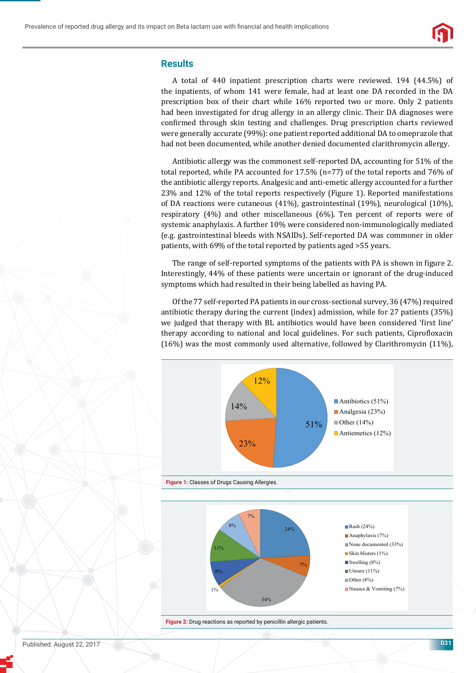

## **Results**

A total of 440 inpatient prescription charts were reviewed. 194 (44.5%) of the inpatients, of whom 141 were female, had at least one DA recorded in the DA prescription box of their chart while 16% reported two or more. Only 2 patients had been investigated for drug allergy in an allergy clinic. Their DA diagnoses were confirmed through skin testing and challenges. Drug prescription charts reviewed were generally accurate (99%): one patient reported additional DA to omeprazole that had not been documented, while another denied documented clarithromycin allergy.

Antibiotic allergy was the commonest self-reported DA, accounting for 51% of the total reported, while PA accounted for  $17.5\%$  (n=77) of the total reports and 76% of the antibiotic allergy reports. Analgesic and anti-emetic allergy accounted for a further 23% and 12% of the total reports respectively (Figure 1). Reported manifestations of DA reactions were cutaneous (41%), gastrointestinal (19%), neurological (10%), respiratory (4%) and other miscellaneous (6%). Ten percent of reports were of systemic anaphylaxis. A further 10% were considered non-immunologically mediated (e.g. gastrointestinal bleeds with NSAIDs). Self-reported DA was commoner in older patients, with 69% of the total reported by patients aged >55 years.

The range of self-reported symptoms of the patients with PA is shown in figure 2. Interestingly, 44% of these patients were uncertain or ignorant of the drug-induced symptoms which had resulted in their being labelled as having PA.

Of the 77 self-reported PA patients in our cross-sectional survey, 36 (47%) required antibiotic therapy during the current (index) admission, while for 27 patients (35%) we judged that therapy with BL antibiotics would have been considered 'first line' therapy according to national and local guidelines. For such patients, Ciprofloxacin (16%) was the most commonly used alternative, followed by Clarithromycin (11%),



**Figure 2:** Drug reactions as reported by penicillin allergic patients.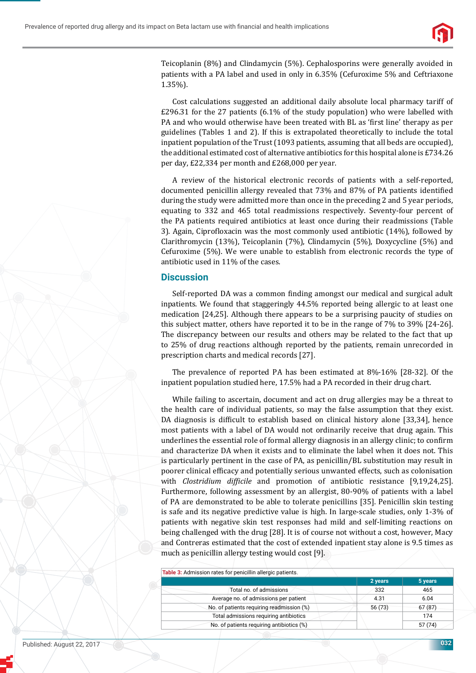

Teicoplanin (8%) and Clindamycin (5%). Cephalosporins were generally avoided in patients with a PA label and used in only in 6.35% (Cefuroxime 5% and Ceftriaxone 1.35%).

Cost calculations suggested an additional daily absolute local pharmacy tariff of £296.31 for the 27 patients (6.1% of the study population) who were labelled with PA and who would otherwise have been treated with BL as 'first line' therapy as per guidelines (Tables 1 and 2). If this is extrapolated theoretically to include the total inpatient population of the Trust (1093 patients, assuming that all beds are occupied), the additional estimated cost of alternative antibiotics for this hospital alone is £734.26 per day, £22,334 per month and £268,000 per year.

A review of the historical electronic records of patients with a self-reported, documented penicillin allergy revealed that 73% and 87% of PA patients identified during the study were admitted more than once in the preceding 2 and 5 year periods, equating to 332 and 465 total readmissions respectively. Seventy-four percent of the PA patients required antibiotics at least once during their readmissions (Table 3). Again, Ciprofloxacin was the most commonly used antibiotic (14%), followed by Clarithromycin (13%), Teicoplanin (7%), Clindamycin (5%), Doxycycline (5%) and Cefuroxime (5%). We were unable to establish from electronic records the type of antibiotic used in 11% of the cases.

#### **Discussion**

Self-reported DA was a common finding amongst our medical and surgical adult inpatients. We found that staggeringly 44.5% reported being allergic to at least one medication [24,25]. Although there appears to be a surprising paucity of studies on this subject matter, others have reported it to be in the range of 7% to 39% [24-26]. The discrepancy between our results and others may be related to the fact that up to 25% of drug reactions although reported by the patients, remain unrecorded in prescription charts and medical records [27].

The prevalence of reported PA has been estimated at 8%-16% [28-32]. Of the inpatient population studied here, 17.5% had a PA recorded in their drug chart.

While failing to ascertain, document and act on drug allergies may be a threat to the health care of individual patients, so may the false assumption that they exist. DA diagnosis is difficult to establish based on clinical history alone [33,34], hence most patients with a label of DA would not ordinarily receive that drug again. This underlines the essential role of formal allergy diagnosis in an allergy clinic; to confirm and characterize DA when it exists and to eliminate the label when it does not. This is particularly pertinent in the case of PA, as penicillin/BL substitution may result in poorer clinical efficacy and potentially serious unwanted effects, such as colonisation with *Clostridium difϔicile* and promotion of antibiotic resistance [9,19,24,25]. Furthermore, following assessment by an allergist, 80-90% of patients with a label of PA are demonstrated to be able to tolerate penicillins [35]. Penicillin skin testing is safe and its negative predictive value is high. In large-scale studies, only 1-3% of patients with negative skin test responses had mild and self-limiting reactions on being challenged with the drug [28]. It is of course not without a cost, however, Macy and Contreras estimated that the cost of extended inpatient stay alone is 9.5 times as much as penicillin allergy testing would cost [9].

| Table 3: Admission rates for penicillin allergic patients. |         |         |
|------------------------------------------------------------|---------|---------|
|                                                            | 2 years | 5 years |
| Total no. of admissions                                    | 332     | 465     |
| Average no. of admissions per patient                      | 4.31    | 6.04    |
| No. of patients requiring readmission (%)                  | 56 (73) | 67(87)  |
| Total admissions requiring antibiotics                     |         | 174     |
| No. of patients requiring antibiotics (%)                  |         | 57(74)  |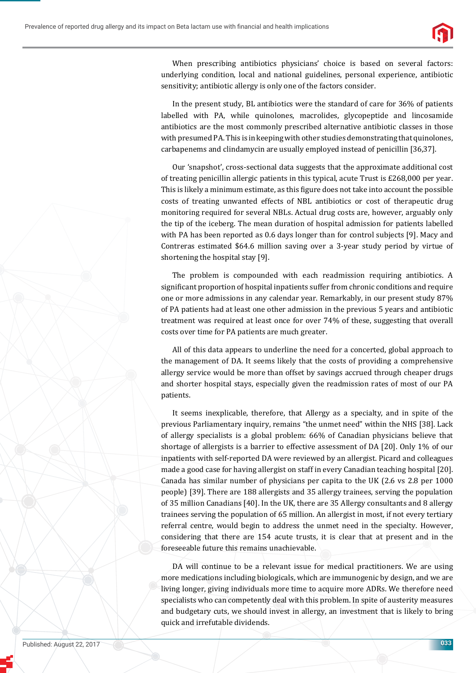



When prescribing antibiotics physicians' choice is based on several factors: underlying condition, local and national guidelines, personal experience, antibiotic sensitivity; antibiotic allergy is only one of the factors consider.

In the present study, BL antibiotics were the standard of care for 36% of patients labelled with PA, while quinolones, macrolides, glycopeptide and lincosamide antibiotics are the most commonly prescribed alternative antibiotic classes in those with presumed PA. This is in keeping with other studies demonstrating that quinolones, carbapenems and clindamycin are usually employed instead of penicillin [36,37].

Our 'snapshot', cross-sectional data suggests that the approximate additional cost of treating penicillin allergic patients in this typical, acute Trust is £268,000 per year. This is likely a minimum estimate, as this figure does not take into account the possible costs of treating unwanted effects of NBL antibiotics or cost of therapeutic drug monitoring required for several NBLs. Actual drug costs are, however, arguably only the tip of the iceberg. The mean duration of hospital admission for patients labelled with PA has been reported as 0.6 days longer than for control subjects [9]. Macy and Contreras estimated \$64.6 million saving over a 3-year study period by virtue of shortening the hospital stay [9].

The problem is compounded with each readmission requiring antibiotics. A significant proportion of hospital inpatients suffer from chronic conditions and require one or more admissions in any calendar year. Remarkably, in our present study 87% of PA patients had at least one other admission in the previous 5 years and antibiotic treatment was required at least once for over 74% of these, suggesting that overall costs over time for PA patients are much greater.

All of this data appears to underline the need for a concerted, global approach to the management of DA. It seems likely that the costs of providing a comprehensive allergy service would be more than offset by savings accrued through cheaper drugs and shorter hospital stays, especially given the readmission rates of most of our PA patients.

It seems inexplicable, therefore, that Allergy as a specialty, and in spite of the previous Parliamentary inquiry, remains "the unmet need" within the NHS [38]. Lack of allergy specialists is a global problem: 66% of Canadian physicians believe that shortage of allergists is a barrier to effective assessment of DA [20]. Only 1% of our inpatients with self-reported DA were reviewed by an allergist. Picard and colleagues made a good case for having allergist on staff in every Canadian teaching hospital [20]. Canada has similar number of physicians per capita to the UK (2.6 vs 2.8 per 1000 people) [39]. There are 188 allergists and 35 allergy trainees, serving the population of 35 million Canadians [40]. In the UK, there are 35 Allergy consultants and 8 allergy trainees serving the population of 65 million. An allergist in most, if not every tertiary referral centre, would begin to address the unmet need in the specialty. However, considering that there are 154 acute trusts, it is clear that at present and in the foreseeable future this remains unachievable.

DA will continue to be a relevant issue for medical practitioners. We are using more medications including biologicals, which are immunogenic by design, and we are living longer, giving individuals more time to acquire more ADRs. We therefore need specialists who can competently deal with this problem. In spite of austerity measures and budgetary cuts, we should invest in allergy, an investment that is likely to bring quick and irrefutable dividends.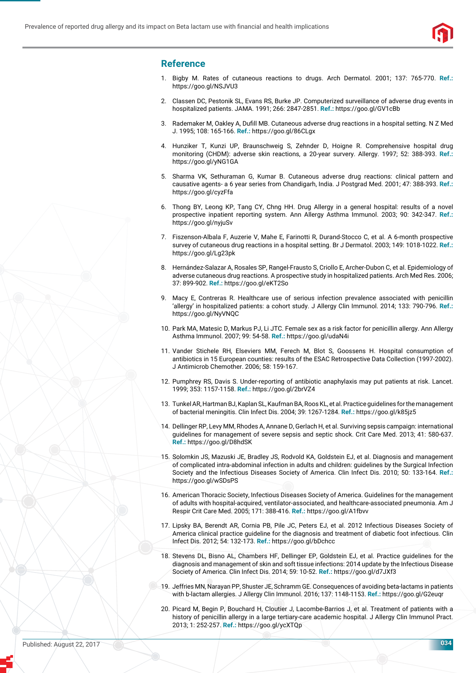

# **Reference**

- 1. Bigby M. Rates of cutaneous reactions to drugs. Arch Dermatol. 2001; 137: 765-770. **Ref.:** https://goo.gl/NSJVU3
- 2. Classen DC, Pestonik SL, Evans RS, Burke JP. Computerized surveillance of adverse drug events in hospitalized patients. JAMA. 1991; 266: 2847-2851. **Ref.:** https://goo.gl/GV1cBb
- 3. Rademaker M, Oakley A, Dufill MB. Cutaneous adverse drug reactions in a hospital setting. N Z Med J. 1995; 108: 165-166. **Ref.:** https://goo.gl/86CLgx
- 4. Hunziker T, Kunzi UP, Braunschweig S, Zehnder D, Hoigne R. Comprehensive hospital drug monitoring (CHDM): adverse skin reactions, a 20-year survery. Allergy. 1997; 52: 388-393. **Ref.:** https://goo.gl/yNG1GA
- 5. Sharma VK, Sethuraman G, Kumar B. Cutaneous adverse drug reactions: clinical pattern and causative agents- a 6 year series from Chandigarh, India. J Postgrad Med. 2001; 47: 388-393. **Ref.:** https://goo.gl/cyzFfa
- 6. Thong BY, Leong KP, Tang CY, Chng HH. Drug Allergy in a general hospital: results of a novel prospective inpatient reporting system. Ann Allergy Asthma Immunol. 2003; 90: 342-347. **Ref.:** https://goo.gl/nyjuSv
- 7. Fiszenson-Albala F, Auzerie V, Mahe E, Farinotti R, Durand-Stocco C, et al. A 6-month prospective survey of cutaneous drug reactions in a hospital setting. Br J Dermatol. 2003; 149: 1018-1022. **Ref.:** https://goo.gl/Lg23pk
- 8. Hernández-Salazar A, Rosales SP, Rangel-Frausto S, Criollo E, Archer-Dubon C, et al. Epidemiology of adverse cutaneous drug reactions. A prospective study in hospitalized patients. Arch Med Res. 2006; 37: 899-902. **Ref.:** https://goo.gl/eKT2So
- 9. Macy E, Contreras R. Healthcare use of serious infection prevalence associated with penicillin 'allergy' in hospitalized patients: a cohort study. J Allergy Clin Immunol. 2014; 133: 790-796. **Ref.:** https://goo.gl/NyVNQC
- 10. Park MA, Matesic D, Markus PJ, Li JTC. Female sex as a risk factor for penicillin allergy. Ann Allergy Asthma Immunol. 2007; 99: 54-58. **Ref.:** https://goo.gl/udaN4i
- 11. Vander Stichele RH, Elseviers MM, Ferech M, Blot S, Goossens H. Hospital consumption of antibiotics in 15 European counties: results of the ESAC Retrospective Data Collection (1997-2002). J Antimicrob Chemother. 2006; 58: 159-167.
- 12. Pumphrey RS, Davis S. Under-reporting of antibiotic anaphylaxis may put patients at risk. Lancet. 1999; 353: 1157-1158. **Ref.:** https://goo.gl/2brVZ4
- 13. Tunkel AR, Hartman BJ, Kaplan SL, Kaufman BA, Roos KL, et al. Practice guidelines for the management of bacterial meningitis. Clin Infect Dis. 2004; 39: 1267-1284. **Ref.:** https://goo.gl/k85jz5
- 14. Dellinger RP, Levy MM, Rhodes A, Annane D, Gerlach H, et al. Surviving sepsis campaign: international guidelines for management of severe sepsis and septic shock. Crit Care Med. 2013; 41: 580-637. **Ref.:** https://goo.gl/D8hdSK
- 15. Solomkin JS, Mazuski JE, Bradley JS, Rodvold KA, Goldstein EJ, et al. Diagnosis and management of complicated intra-abdominal infection in adults and children: guidelines by the Surgical Infection Society and the Infectious Diseases Society of America. Clin Infect Dis. 2010; 50: 133-164. **Ref.:** https://goo.gl/wSDsPS
- 16. American Thoracic Society, Infectious Diseases Society of America. Guidelines for the management of adults with hospital-acquired, ventilator-associated, and healthcare-associated pneumonia. Am J Respir Crit Care Med. 2005; 171: 388-416. **Ref.:** https://goo.gl/A1fbvv
- 17. Lipsky BA, Berendt AR, Cornia PB, Pile JC, Peters EJ, et al. 2012 Infectious Diseases Society of America clinical practice guideline for the diagnosis and treatment of diabetic foot infectious. Clin Infect Dis. 2012; 54: 132-173. **Ref.:** https://goo.gl/bDchcc
- 18. Stevens DL, Bisno AL, Chambers HF, Dellinger EP, Goldstein EJ, et al. Practice guidelines for the diagnosis and management of skin and soft tissue infections: 2014 update by the Infectious Disease Society of America. Clin Infect Dis. 2014; 59: 10-52. **Ref.:** https://goo.gl/d7JXf3
- 19. Jeffries MN, Narayan PP, Shuster JE, Schramm GE. Consequences of avoiding beta-lactams in patients with b-lactam allergies. J Allergy Clin Immunol. 2016; 137: 1148-1153. **Ref.:** https://goo.gl/G2euqr
- 20. Picard M, Begin P, Bouchard H, Cloutier J, Lacombe-Barrios J, et al. Treatment of patients with a history of penicillin allergy in a large tertiary-care academic hospital. J Allergy Clin Immunol Pract. 2013; 1: 252-257. **Ref.:** https://goo.gl/ycXTQp